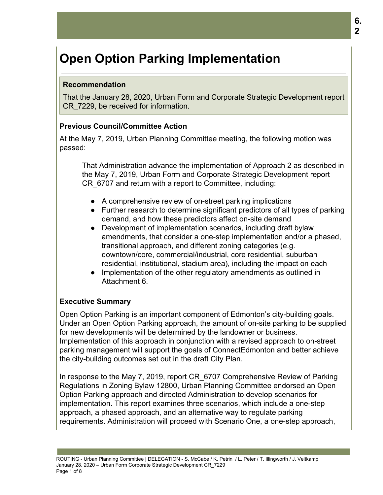# **Open Option Parking Implementation**

#### **Recommendation**

That the January 28, 2020, Urban Form and Corporate Strategic Development report CR\_7229, be received for information.

#### **Previous Council/Committee Action**

At the May 7, 2019, Urban Planning Committee meeting, the following motion was passed:

That Administration advance the implementation of Approach 2 as described in the May 7, 2019, Urban Form and Corporate Strategic Development report CR\_6707 and return with a report to Committee, including:

- A comprehensive review of on-street parking implications
- Further research to determine significant predictors of all types of parking demand, and how these predictors affect on-site demand
- Development of implementation scenarios, including draft bylaw amendments, that consider a one-step implementation and/or a phased, transitional approach, and different zoning categories (e.g. downtown/core, commercial/industrial, core residential, suburban residential, institutional, stadium area), including the impact on each
- Implementation of the other regulatory amendments as outlined in Attachment 6.

# **Executive Summary**

Open Option Parking is an important component of Edmonton's city-building goals. Under an Open Option Parking approach, the amount of on-site parking to be supplied for new developments will be determined by the landowner or business. Implementation of this approach in conjunction with a revised approach to on-street parking management will support the goals of ConnectEdmonton and better achieve the city-building outcomes set out in the draft City Plan.

In response to the May 7, 2019, report CR\_6707 Comprehensive Review of Parking Regulations in Zoning Bylaw 12800, Urban Planning Committee endorsed an Open Option Parking approach and directed Administration to develop scenarios for implementation. This report examines three scenarios, which include a one-step approach, a phased approach, and an alternative way to regulate parking requirements. Administration will proceed with Scenario One, a one-step approach,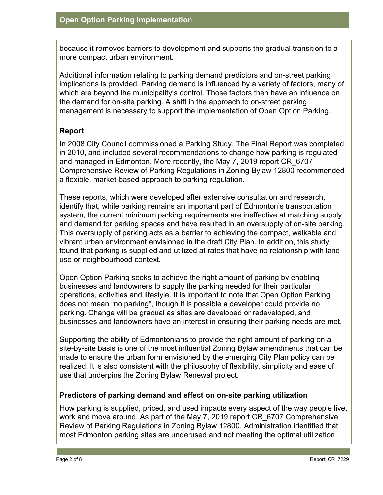because it removes barriers to development and supports the gradual transition to a more compact urban environment.

Additional information relating to parking demand predictors and on-street parking implications is provided. Parking demand is influenced by a variety of factors, many of which are beyond the municipality's control. Those factors then have an influence on the demand for on-site parking. A shift in the approach to on-street parking management is necessary to support the implementation of Open Option Parking.

# **Report**

In 2008 City Council commissioned a Parking Study. The Final Report was completed in 2010, and included several recommendations to change how parking is regulated and managed in Edmonton. More recently, the May 7, 2019 report CR\_6707 Comprehensive Review of Parking Regulations in Zoning Bylaw 12800 recommended a flexible, market-based approach to parking regulation.

These reports, which were developed after extensive consultation and research, identify that, while parking remains an important part of Edmonton's transportation system, the current minimum parking requirements are ineffective at matching supply and demand for parking spaces and have resulted in an oversupply of on-site parking. This oversupply of parking acts as a barrier to achieving the compact, walkable and vibrant urban environment envisioned in the draft City Plan. In addition, this study found that parking is supplied and utilized at rates that have no relationship with land use or neighbourhood context.

Open Option Parking seeks to achieve the right amount of parking by enabling businesses and landowners to supply the parking needed for their particular operations, activities and lifestyle. It is important to note that Open Option Parking does not mean "no parking", though it is possible a developer could provide no parking. Change will be gradual as sites are developed or redeveloped, and businesses and landowners have an interest in ensuring their parking needs are met.

Supporting the ability of Edmontonians to provide the right amount of parking on a site-by-site basis is one of the most influential Zoning Bylaw amendments that can be made to ensure the urban form envisioned by the emerging City Plan policy can be realized. It is also consistent with the philosophy of flexibility, simplicity and ease of use that underpins the Zoning Bylaw Renewal project.

#### **Predictors of parking demand and effect on on-site parking utilization**

How parking is supplied, priced, and used impacts every aspect of the way people live, work and move around. As part of the May 7, 2019 report CR\_6707 Comprehensive Review of Parking Regulations in Zoning Bylaw 12800, Administration identified that most Edmonton parking sites are underused and not meeting the optimal utilization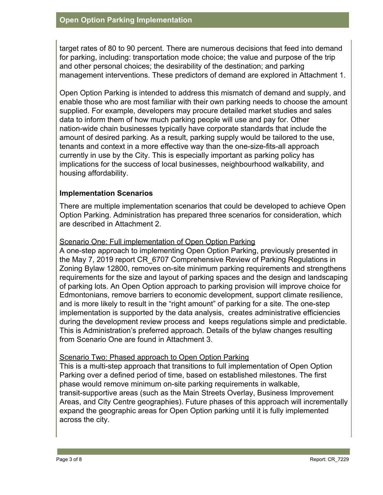target rates of 80 to 90 percent. There are numerous decisions that feed into demand for parking, including: transportation mode choice; the value and purpose of the trip and other personal choices; the desirability of the destination; and parking management interventions. These predictors of demand are explored in Attachment 1.

Open Option Parking is intended to address this mismatch of demand and supply, and enable those who are most familiar with their own parking needs to choose the amount supplied. For example, developers may procure detailed market studies and sales data to inform them of how much parking people will use and pay for. Other nation-wide chain businesses typically have corporate standards that include the amount of desired parking. As a result, parking supply would be tailored to the use, tenants and context in a more effective way than the one-size-fits-all approach currently in use by the City. This is especially important as parking policy has implications for the success of local businesses, neighbourhood walkability, and housing affordability.

#### **Implementation Scenarios**

There are multiple implementation scenarios that could be developed to achieve Open Option Parking. Administration has prepared three scenarios for consideration, which are described in Attachment 2.

#### Scenario One: Full implementation of Open Option Parking

A one-step approach to implementing Open Option Parking, previously presented in the May 7, 2019 report CR\_6707 Comprehensive Review of Parking Regulations in Zoning Bylaw 12800, removes on-site minimum parking requirements and strengthens requirements for the size and layout of parking spaces and the design and landscaping of parking lots. An Open Option approach to parking provision will improve choice for Edmontonians, remove barriers to economic development, support climate resilience, and is more likely to result in the "right amount" of parking for a site. The one-step implementation is supported by the data analysis, creates administrative efficiencies during the development review process and keeps regulations simple and predictable. This is Administration's preferred approach. Details of the bylaw changes resulting from Scenario One are found in Attachment 3.

#### Scenario Two: Phased approach to Open Option Parking

This is a multi-step approach that transitions to full implementation of Open Option Parking over a defined period of time, based on established milestones. The first phase would remove minimum on-site parking requirements in walkable, transit-supportive areas (such as the Main Streets Overlay, Business Improvement Areas, and City Centre geographies). Future phases of this approach will incrementally expand the geographic areas for Open Option parking until it is fully implemented across the city.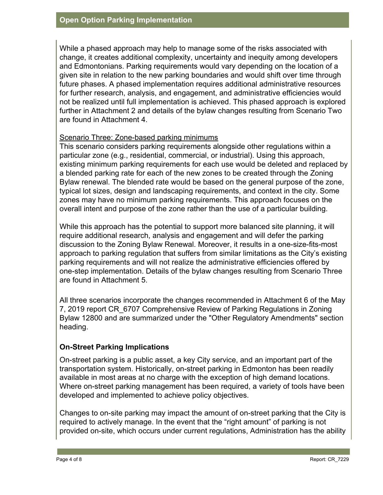While a phased approach may help to manage some of the risks associated with change, it creates additional complexity, uncertainty and inequity among developers and Edmontonians. Parking requirements would vary depending on the location of a given site in relation to the new parking boundaries and would shift over time through future phases. A phased implementation requires additional administrative resources for further research, analysis, and engagement, and administrative efficiencies would not be realized until full implementation is achieved. This phased approach is explored further in Attachment 2 and details of the bylaw changes resulting from Scenario Two are found in Attachment 4.

#### Scenario Three: Zone-based parking minimums

This scenario considers parking requirements alongside other regulations within a particular zone (e.g., residential, commercial, or industrial). Using this approach, existing minimum parking requirements for each use would be deleted and replaced by a blended parking rate for each of the new zones to be created through the Zoning Bylaw renewal. The blended rate would be based on the general purpose of the zone, typical lot sizes, design and landscaping requirements, and context in the city. Some zones may have no minimum parking requirements. This approach focuses on the overall intent and purpose of the zone rather than the use of a particular building.

While this approach has the potential to support more balanced site planning, it will require additional research, analysis and engagement and will defer the parking discussion to the Zoning Bylaw Renewal. Moreover, it results in a one-size-fits-most approach to parking regulation that suffers from similar limitations as the City's existing parking requirements and will not realize the administrative efficiencies offered by one-step implementation. Details of the bylaw changes resulting from Scenario Three are found in Attachment 5.

All three scenarios incorporate the changes recommended in Attachment 6 of the May 7, 2019 report CR\_6707 Comprehensive Review of Parking Regulations in Zoning Bylaw 12800 and are summarized under the "Other Regulatory Amendments" section heading.

# **On-Street Parking Implications**

On-street parking is a public asset, a key City service, and an important part of the transportation system. Historically, on-street parking in Edmonton has been readily available in most areas at no charge with the exception of high demand locations. Where on-street parking management has been required, a variety of tools have been developed and implemented to achieve policy objectives.

Changes to on-site parking may impact the amount of on-street parking that the City is required to actively manage. In the event that the "right amount" of parking is not provided on-site, which occurs under current regulations, Administration has the ability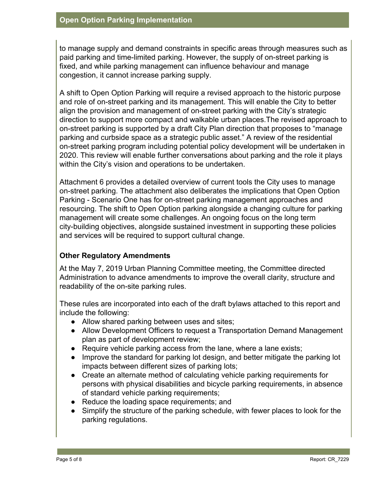to manage supply and demand constraints in specific areas through measures such as paid parking and time-limited parking. However, the supply of on-street parking is fixed, and while parking management can influence behaviour and manage congestion, it cannot increase parking supply.

A shift to Open Option Parking will require a revised approach to the historic purpose and role of on-street parking and its management. This will enable the City to better align the provision and management of on-street parking with the City's strategic direction to support more compact and walkable urban places.The revised approach to on-street parking is supported by a draft City Plan direction that proposes to "manage parking and curbside space as a strategic public asset." A review of the residential on-street parking program including potential policy development will be undertaken in 2020. This review will enable further conversations about parking and the role it plays within the City's vision and operations to be undertaken.

Attachment 6 provides a detailed overview of current tools the City uses to manage on-street parking. The attachment also deliberates the implications that Open Option Parking - Scenario One has for on-street parking management approaches and resourcing. The shift to Open Option parking alongside a changing culture for parking management will create some challenges. An ongoing focus on the long term city-building objectives, alongside sustained investment in supporting these policies and services will be required to support cultural change.

# **Other Regulatory Amendments**

At the May 7, 2019 Urban Planning Committee meeting, the Committee directed Administration to advance amendments to improve the overall clarity, structure and readability of the on-site parking rules.

These rules are incorporated into each of the draft bylaws attached to this report and include the following:

- Allow shared parking between uses and sites;
- Allow Development Officers to request a Transportation Demand Management plan as part of development review;
- Require vehicle parking access from the lane, where a lane exists;
- Improve the standard for parking lot design, and better mitigate the parking lot impacts between different sizes of parking lots;
- Create an alternate method of calculating vehicle parking requirements for persons with physical disabilities and bicycle parking requirements, in absence of standard vehicle parking requirements;
- Reduce the loading space requirements; and
- Simplify the structure of the parking schedule, with fewer places to look for the parking regulations.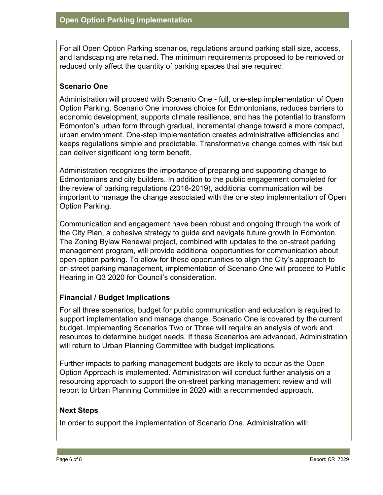For all Open Option Parking scenarios, regulations around parking stall size, access, and landscaping are retained. The minimum requirements proposed to be removed or reduced only affect the quantity of parking spaces that are required.

# **Scenario One**

Administration will proceed with Scenario One - full, one-step implementation of Open Option Parking. Scenario One improves choice for Edmontonians, reduces barriers to economic development, supports climate resilience, and has the potential to transform Edmonton's urban form through gradual, incremental change toward a more compact, urban environment. One-step implementation creates administrative efficiencies and keeps regulations simple and predictable. Transformative change comes with risk but can deliver significant long term benefit.

Administration recognizes the importance of preparing and supporting change to Edmontonians and city builders. In addition to the public engagement completed for the review of parking regulations (2018-2019), additional communication will be important to manage the change associated with the one step implementation of Open Option Parking.

Communication and engagement have been robust and ongoing through the work of the City Plan, a cohesive strategy to guide and navigate future growth in Edmonton. The Zoning Bylaw Renewal project, combined with updates to the on-street parking management program, will provide additional opportunities for communication about open option parking. To allow for these opportunities to align the City's approach to on-street parking management, implementation of Scenario One will proceed to Public Hearing in Q3 2020 for Council's consideration.

# **Financial / Budget Implications**

For all three scenarios, budget for public communication and education is required to support implementation and manage change. Scenario One is covered by the current budget. Implementing Scenarios Two or Three will require an analysis of work and resources to determine budget needs. If these Scenarios are advanced, Administration will return to Urban Planning Committee with budget implications.

Further impacts to parking management budgets are likely to occur as the Open Option Approach is implemented. Administration will conduct further analysis on a resourcing approach to support the on-street parking management review and will report to Urban Planning Committee in 2020 with a recommended approach.

# **Next Steps**

In order to support the implementation of Scenario One, Administration will: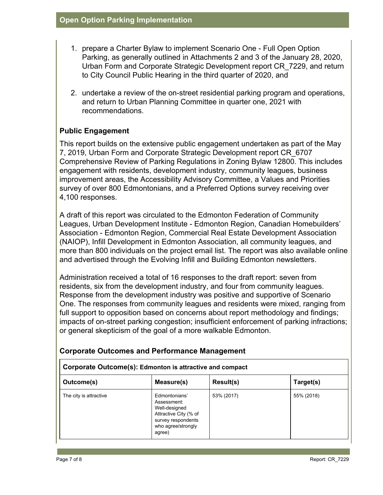- 1. prepare a Charter Bylaw to implement Scenario One Full Open Option Parking, as generally outlined in Attachments 2 and 3 of the January 28, 2020, Urban Form and Corporate Strategic Development report CR\_7229, and return to City Council Public Hearing in the third quarter of 2020, and
- 2. undertake a review of the on-street residential parking program and operations, and return to Urban Planning Committee in quarter one, 2021 with recommendations.

# **Public Engagement**

This report builds on the extensive public engagement undertaken as part of the May 7, 2019, Urban Form and Corporate Strategic Development report CR\_6707 Comprehensive Review of Parking Regulations in Zoning Bylaw 12800. This includes engagement with residents, development industry, community leagues, business improvement areas, the Accessibility Advisory Committee, a Values and Priorities survey of over 800 Edmontonians, and a Preferred Options survey receiving over 4,100 responses.

A draft of this report was circulated to the Edmonton Federation of Community Leagues, Urban Development Institute - Edmonton Region, Canadian Homebuilders' Association - Edmonton Region, Commercial Real Estate Development Association (NAIOP), Infill Development in Edmonton Association, all community leagues, and more than 800 individuals on the project email list. The report was also available online and advertised through the Evolving Infill and Building Edmonton newsletters.

Administration received a total of 16 responses to the draft report: seven from residents, six from the development industry, and four from community leagues. Response from the development industry was positive and supportive of Scenario One. The responses from community leagues and residents were mixed, ranging from full support to opposition based on concerns about report methodology and findings; impacts of on-street parking congestion; insufficient enforcement of parking infractions; or general skepticism of the goal of a more walkable Edmonton.

| Corporate Outcome(s): Edmonton is attractive and compact |                                                                                                                              |            |            |  |  |
|----------------------------------------------------------|------------------------------------------------------------------------------------------------------------------------------|------------|------------|--|--|
| Outcome(s)                                               | Measure(s)                                                                                                                   | Result(s)  | Target(s)  |  |  |
| The city is attractive                                   | Edmontonians'<br>Assessment:<br>Well-designed<br>Attractive City (% of<br>survey respondents<br>who agree/strongly<br>agree) | 53% (2017) | 55% (2018) |  |  |

# **Corporate Outcomes and Performance Management**